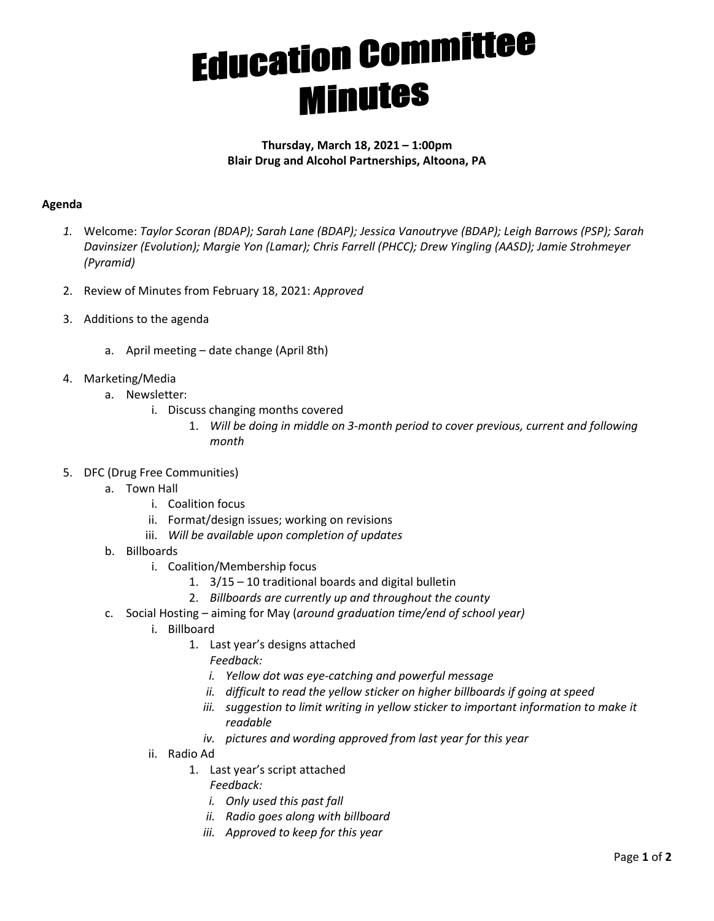## **Education Committee**

## **Thursday, March 18, 2021 – 1:00pm Blair Drug and Alcohol Partnerships, Altoona, PA**

## **Agenda**

- *1.* Welcome: *Taylor Scoran (BDAP); Sarah Lane (BDAP); Jessica Vanoutryve (BDAP); Leigh Barrows (PSP); Sarah Davinsizer (Evolution); Margie Yon (Lamar); Chris Farrell (PHCC); Drew Yingling (AASD); Jamie Strohmeyer (Pyramid)*
- 2. Review of Minutes from February 18, 2021: *Approved*
- 3. Additions to the agenda
	- a. April meeting date change (April 8th)
- 4. Marketing/Media
	- a. Newsletter:
		- i. Discuss changing months covered
			- 1. *Will be doing in middle on 3-month period to cover previous, current and following month*
- 5. DFC (Drug Free Communities)
	- a. Town Hall
		- i. Coalition focus
		- ii. Format/design issues; working on revisions
		- iii. *Will be available upon completion of updates*
	- b. Billboards
		- i. Coalition/Membership focus
			- 1. 3/15 10 traditional boards and digital bulletin
			- 2. *Billboards are currently up and throughout the county*
	- c. Social Hosting aiming for May (*around graduation time/end of school year)*
		- i. Billboard
			- 1. Last year's designs attached
				- *Feedback:*
				- *i. Yellow dot was eye-catching and powerful message*
				- *ii. difficult to read the yellow sticker on higher billboards if going at speed*
				- *iii. suggestion to limit writing in yellow sticker to important information to make it readable*
				- *iv. pictures and wording approved from last year for this year*
		- ii. Radio Ad
			- 1. Last year's script attached
				- *Feedback:* 
					- *i. Only used this past fall*
					- *ii. Radio goes along with billboard*
				- *iii. Approved to keep for this year*